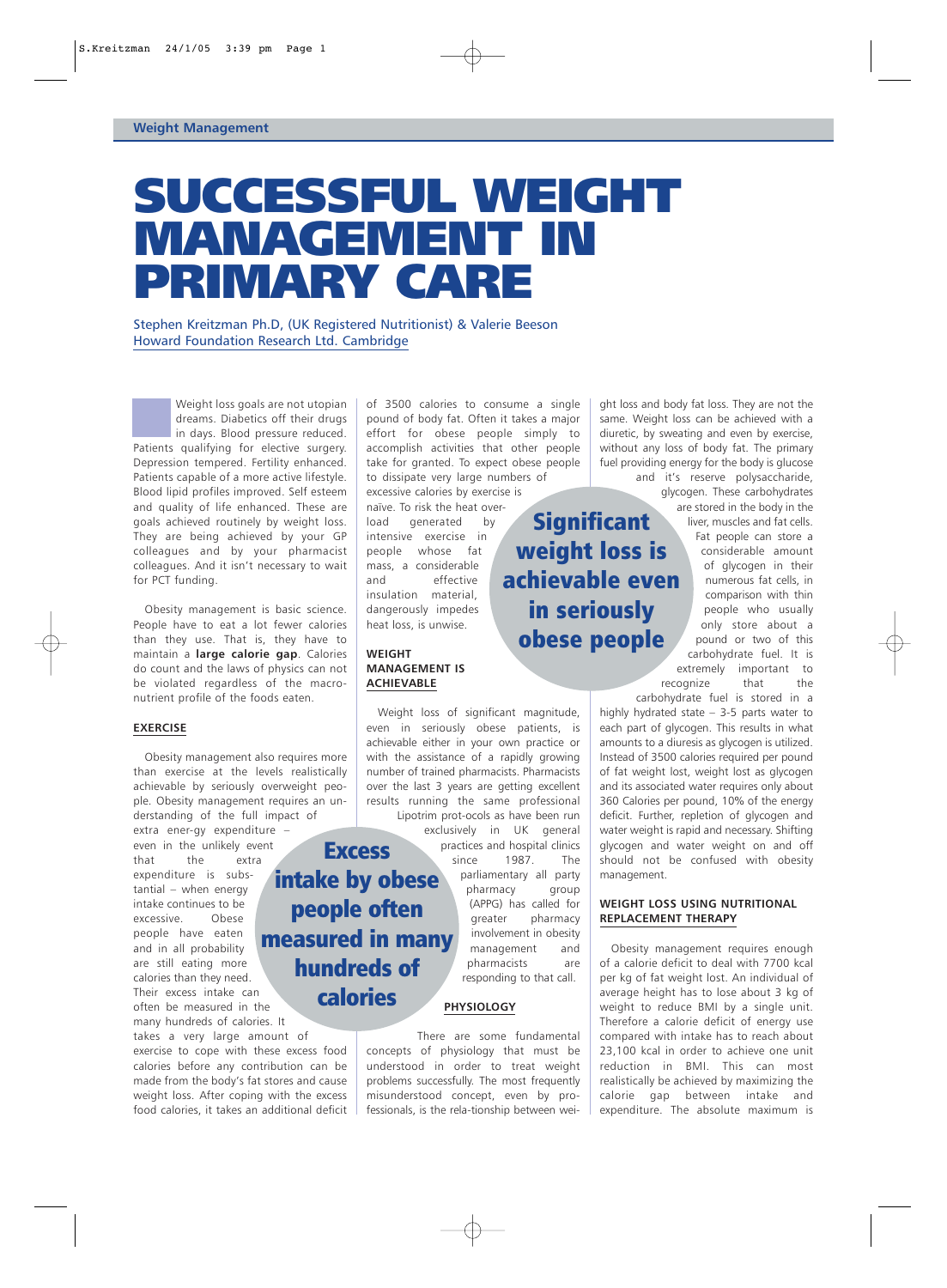# SUCCESSFUL WEIGHT MANAGEMENT IN PRIMARY CARE

Stephen Kreitzman Ph.D, (UK Registered Nutritionist) & Valerie Beeson Howard Foundation Research Ltd. Cambridge

Weight loss goals are not utopian dreams. Diabetics off their drugs in days. Blood pressure reduced. Patients qualifying for elective surgery. Depression tempered. Fertility enhanced. Patients capable of a more active lifestyle. Blood lipid profiles improved. Self esteem and quality of life enhanced. These are goals achieved routinely by weight loss. They are being achieved by your GP colleagues and by your pharmacist colleagues. And it isn't necessary to wait for PCT funding.

Obesity management is basic science. People have to eat a lot fewer calories than they use. That is, they have to maintain a **large calorie gap**. Calories do count and the laws of physics can not be violated regardless of the macronutrient profile of the foods eaten.

### **EXERCISE**

Obesity management also requires more than exercise at the levels realistically achievable by seriously overweight people. Obesity management requires an understanding of the full impact of extra ener-gy expenditure –

even in the unlikely event that the extra expenditure is substantial – when energy intake continues to be excessive. Obese people have eaten and in all probability are still eating more calories than they need. Their excess intake can often be measured in the many hundreds of calories. It measured in many

takes a very large amount of exercise to cope with these excess food calories before any contribution can be made from the body's fat stores and cause weight loss. After coping with the excess food calories, it takes an additional deficit of 3500 calories to consume a single pound of body fat. Often it takes a major effort for obese people simply to accomplish activities that other people take for granted. To expect obese people to dissipate very large numbers of

excessive calories by exercise is naïve. To risk the heat overload generated by intensive exercise in people whose fat mass, a considerable and effective insulation material, dangerously impedes heat loss, is unwise.

### **WEIGHT MANAGEMENT IS ACHIEVABLE**

**Excess** 

intake by obese

people often

hundreds of

calories

Weight loss of significant magnitude, even in seriously obese patients, is achievable either in your own practice or with the assistance of a rapidly growing number of trained pharmacists. Pharmacists over the last 3 years are getting excellent results running the same professional Lipotrim prot-ocols as have been run

exclusively in UK general practices and hospital clinics since 1987. The

weight loss is

achievable even

in seriously

obese people

parliamentary all party pharmacy group (APPG) has called for greater pharmacy involvement in obesity management and pharmacists are responding to that call.

### **PHYSIOLOGY**

There are some fundamental concepts of physiology that must be understood in order to treat weight problems successfully. The most frequently misunderstood concept, even by professionals, is the rela-tionship between weight loss and body fat loss. They are not the same. Weight loss can be achieved with a diuretic, by sweating and even by exercise, without any loss of body fat. The primary fuel providing energy for the body is glucose and it's reserve polysaccharide,

glycogen. These carbohydrates are stored in the body in the liver, muscles and fat cells. **Significant** 

Fat people can store a considerable amount of glycogen in their numerous fat cells, in comparison with thin people who usually only store about a pound or two of this carbohydrate fuel. It is extremely important to recognize that the

carbohydrate fuel is stored in a highly hydrated state – 3-5 parts water to each part of glycogen. This results in what amounts to a diuresis as glycogen is utilized. Instead of 3500 calories required per pound of fat weight lost, weight lost as glycogen and its associated water requires only about 360 Calories per pound, 10% of the energy deficit. Further, repletion of glycogen and water weight is rapid and necessary. Shifting glycogen and water weight on and off should not be confused with obesity management.

## **WEIGHT LOSS USING NUTRITIONAL REPLACEMENT THERAPY**

Obesity management requires enough of a calorie deficit to deal with 7700 kcal per kg of fat weight lost. An individual of average height has to lose about 3 kg of weight to reduce BMI by a single unit. Therefore a calorie deficit of energy use compared with intake has to reach about 23,100 kcal in order to achieve one unit reduction in BMI. This can most realistically be achieved by maximizing the calorie gap between intake and expenditure. The absolute maximum is